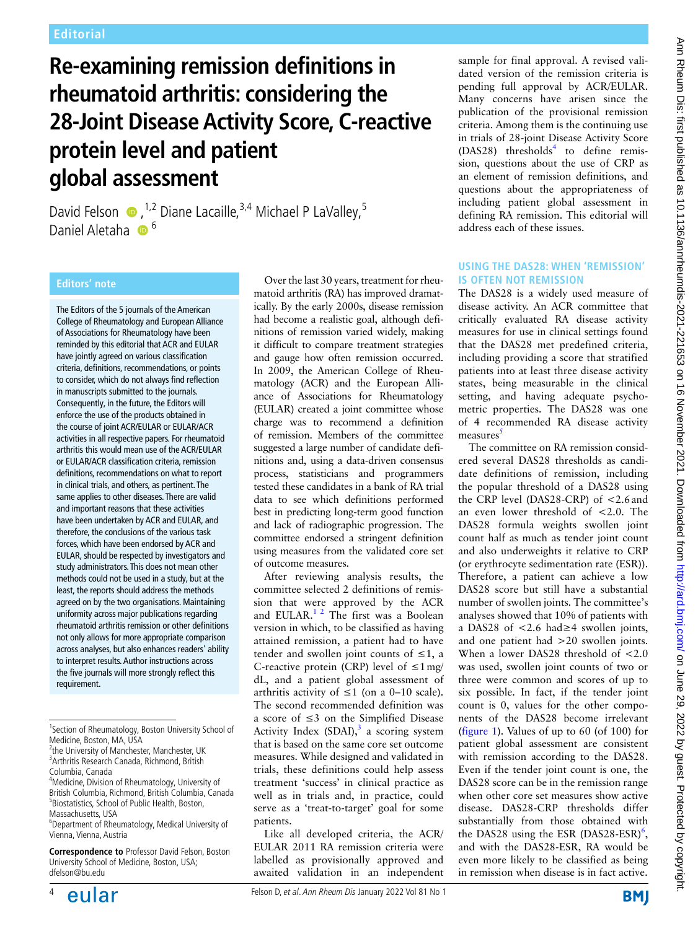# **Re-examining remission definitions in rheumatoid arthritis: considering the 28-Joint Disease Activity Score, C-reactive protein level and patient global assessment**

David Felson  $\bullet$ , <sup>1,2</sup> Diane Lacaille, <sup>3,4</sup> Michael P LaValley, <sup>5</sup> Daniel Aletaha 6<sup>6</sup>

The Editors of the 5 journals of the American College of Rheumatology and European Alliance of Associations for Rheumatology have been reminded by this editorial that ACR and EULAR have jointly agreed on various classification criteria, definitions, recommendations, or points to consider, which do not always find reflection in manuscripts submitted to the journals. Consequently, in the future, the Editors will enforce the use of the products obtained in the course of joint ACR/EULAR or EULAR/ACR activities in all respective papers. For rheumatoid arthritis this would mean use of the ACR/EULAR or EULAR/ACR classification criteria, remission definitions, recommendations on what to report in clinical trials, and others, as pertinent. The same applies to other diseases. There are valid and important reasons that these activities have been undertaken by ACR and EULAR, and therefore, the conclusions of the various task forces, which have been endorsed by ACR and EULAR, should be respected by investigators and study administrators. This does not mean other methods could not be used in a study, but at the least, the reports should address the methods agreed on by the two organisations. Maintaining uniformity across major publications regarding rheumatoid arthritis remission or other definitions not only allows for more appropriate comparison across analyses, but also enhances readers' ability to interpret results. Author instructions across the five journals will more strongly reflect this requirement.

Over the last 30 years, treatment for rheumatoid arthritis (RA) has improved dramatically. By the early 2000s, disease remission had become a realistic goal, although definitions of remission varied widely, making it difficult to compare treatment strategies and gauge how often remission occurred. In 2009, the American College of Rheumatology (ACR) and the European Alliance of Associations for Rheumatology (EULAR) created a joint committee whose charge was to recommend a definition of remission. Members of the committee suggested a large number of candidate definitions and, using a data-driven consensus process, statisticians and programmers tested these candidates in a bank of RA trial data to see which definitions performed best in predicting long-term good function and lack of radiographic progression. The committee endorsed a stringent definition using measures from the validated core set of outcome measures.

After reviewing analysis results, the committee selected 2 definitions of remission that were approved by the ACR and EULAR. $12$  The first was a Boolean version in which, to be classified as having attained remission, a patient had to have tender and swollen joint counts of  $\leq 1$ , a C-reactive protein (CRP) level of  $\leq 1$  mg/ dL, and a patient global assessment of arthritis activity of  $\leq 1$  (on a 0–10 scale). The second recommended definition was a score of ≤3 on the Simplified Disease Activity Index (SDAI), $3$  a scoring system that is based on the same core set outcome measures. While designed and validated in trials, these definitions could help assess treatment 'success' in clinical practice as well as in trials and, in practice, could serve as a 'treat-to-target' goal for some patients.

Like all developed criteria, the ACR/ EULAR 2011 RA remission criteria were labelled as provisionally approved and awaited validation in an independent sample for final approval. A revised validated version of the remission criteria is pending full approval by ACR/EULAR. Many concerns have arisen since the publication of the provisional remission criteria. Among them is the continuing use in trials of 28-joint Disease Activity Score (DAS28) thresholds<sup>4</sup> to define remission, questions about the use of CRP as an element of remission definitions, and questions about the appropriateness of including patient global assessment in defining RA remission. This editorial will address each of these issues.

## **Using the DAS28: when 'remission' is often not remission**

The DAS28 is a widely used measure of disease activity. An ACR committee that critically evaluated RA disease activity measures for use in clinical settings found that the DAS28 met predefined criteria, including providing a score that stratified patients into at least three disease activity states, being measurable in the clinical setting, and having adequate psychometric properties. The DAS28 was one of 4 recommended RA disease activity measures

The committee on RA remission considered several DAS28 thresholds as candidate definitions of remission, including the popular threshold of a DAS28 using the CRP level (DAS28-CRP) of <2.6and an even lower threshold of <2.0. The DAS28 formula weights swollen joint count half as much as tender joint count and also underweights it relative to CRP (or erythrocyte sedimentation rate (ESR)). Therefore, a patient can achieve a low DAS28 score but still have a substantial number of swollen joints. The committee's analyses showed that 10% of patients with a DAS28 of <2.6 had≥4 swollen joints, and one patient had >20 swollen joints. When a lower DAS28 threshold of <2.0 was used, swollen joint counts of two or three were common and scores of up to six possible. In fact, if the tender joint count is 0, values for the other components of the DAS28 become irrelevant (figure 1). Values of up to 60 (of 100) for patient global assessment are consistent with remission according to the DAS28. Even if the tender joint count is one, the DAS28 score can be in the remission range when other core set measures show active disease. DAS28-CRP thresholds differ substantially from those obtained with the DAS28 using the ESR  $(DAS28-ESR)<sup>6</sup>$ , and with the DAS28-ESR, RA would be even more likely to be classified as being in remission when disease is in fact active.



<sup>&</sup>lt;sup>1</sup>Section of Rheumatology, Boston University School of Medicine, Boston, MA, USA

<sup>&</sup>lt;sup>2</sup>the University of Manchester, Manchester, UK 3 Arthritis Research Canada, Richmond, British Columbia, Canada

<sup>4</sup> Medicine, Division of Rheumatology, University of British Columbia, Richmond, British Columbia, Canada 5 Biostatistics, School of Public Health, Boston, Massachusetts, USA

<sup>6</sup> Department of Rheumatology, Medical University of Vienna, Vienna, Austria

**Correspondence to** Professor David Felson, Boston University School of Medicine, Boston, USA; dfelson@bu.edu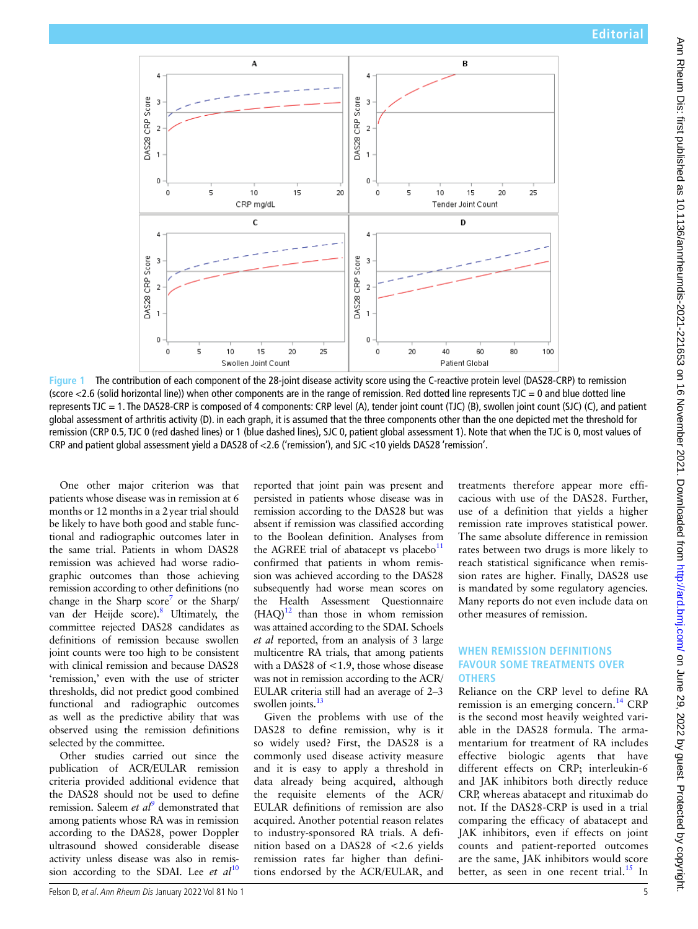

**Figure 1** The contribution of each component of the 28-joint disease activity score using the C-reactive protein level (DAS28-CRP) to remission (score  $<$ 2.6 (solid horizontal line)) when other components are in the range of remission. Red dotted line represents TJC = 0 and blue dotted line represents TJC = 1. The DAS28-CRP is composed of 4 components: CRP level (A), tender joint count (TJC) (B), swollen joint count (SJC) (C), and patient global assessment of arthritis activity (D). in each graph, it is assumed that the three components other than the one depicted met the threshold for remission (CRP 0.5, TJC 0 (red dashed lines) or 1 (blue dashed lines), SJC 0, patient global assessment 1). Note that when the TJC is 0, most values of CRP and patient global assessment yield a DAS28 of <2.6 ('remission'), and SJC <10 yields DAS28 'remission'.

One other major criterion was that patients whose disease was in remission at 6 months or 12 months in a 2year trial should be likely to have both good and stable functional and radiographic outcomes later in the same trial. Patients in whom DAS28 remission was achieved had worse radiographic outcomes than those achieving remission according to other definitions (no change in the Sharp score<sup>7</sup> or the Sharp/ van der Heijde score).<sup>8</sup> Ultimately, the committee rejected DAS28 candidates as definitions of remission because swollen joint counts were too high to be consistent with clinical remission and because DAS28 'remission,' even with the use of stricter thresholds, did not predict good combined functional and radiographic outcomes as well as the predictive ability that was observed using the remission definitions selected by the committee.

Other studies carried out since the publication of ACR/EULAR remission criteria provided additional evidence that the DAS28 should not be used to define remission. Saleem *et al*<sup>9</sup> demonstrated that among patients whose RA was in remission according to the DAS28, power Doppler ultrasound showed considerable disease activity unless disease was also in remission according to the SDAI. Lee *et al*<sup>10</sup>

reported that joint pain was present and persisted in patients whose disease was in remission according to the DAS28 but was absent if remission was classified according to the Boolean definition. Analyses from the AGREE trial of abatacept vs placebo $11$ confirmed that patients in whom remission was achieved according to the DAS28 subsequently had worse mean scores on the Health Assessment Questionnaire  $(HAQ)^{12}$  than those in whom remission was attained according to the SDAI. Schoels *et al* reported, from an analysis of 3 large multicentre RA trials, that among patients with a DAS28 of <1.9, those whose disease was not in remission according to the ACR/ EULAR criteria still had an average of 2–3 swollen joints.<sup>13</sup>

Given the problems with use of the DAS28 to define remission, why is it so widely used? First, the DAS28 is a commonly used disease activity measure and it is easy to apply a threshold in data already being acquired, although the requisite elements of the ACR/ EULAR definitions of remission are also acquired. Another potential reason relates to industry-sponsored RA trials. A definition based on a DAS28 of <2.6 yields remission rates far higher than definitions endorsed by the ACR/EULAR, and treatments therefore appear more efficacious with use of the DAS28. Further, use of a definition that yields a higher remission rate improves statistical power. The same absolute difference in remission rates between two drugs is more likely to reach statistical significance when remission rates are higher. Finally, DAS28 use is mandated by some regulatory agencies. Many reports do not even include data on other measures of remission.

# **When remission definitions favour some treatments over others**

Reliance on the CRP level to define RA remission is an emerging concern.<sup>14</sup> CRP is the second most heavily weighted variable in the DAS28 formula. The armamentarium for treatment of RA includes effective biologic agents that have different effects on CRP; interleukin-6 and JAK inhibitors both directly reduce CRP, whereas abatacept and rituximab do not. If the DAS28-CRP is used in a trial comparing the efficacy of abatacept and JAK inhibitors, even if effects on joint counts and patient-reported outcomes are the same, JAK inhibitors would score better, as seen in one recent trial. $^{15}$  In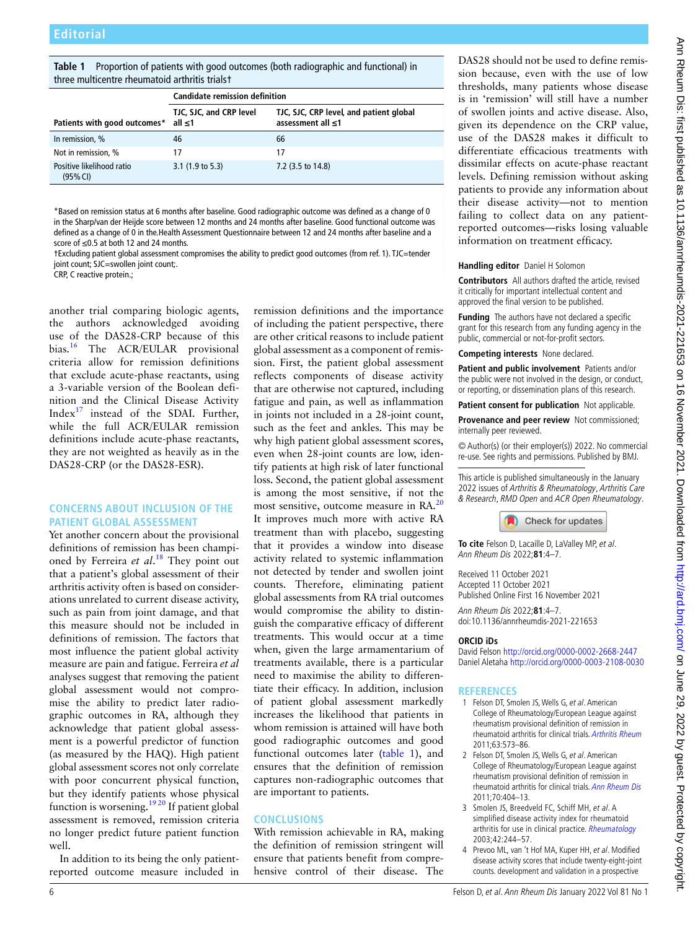**Table 1** Proportion of patients with good outcomes (both radiographic and functional) in three multicentre rheumatoid arthritis trials†

|                                           | <b>Candidate remission definition</b> |                                                              |
|-------------------------------------------|---------------------------------------|--------------------------------------------------------------|
| Patients with good outcomes* all $\leq 1$ | TJC, SJC, and CRP level               | TJC, SJC, CRP level, and patient global<br>assessment all ≤1 |
| In remission, %                           | 46                                    | 66                                                           |
| Not in remission, %                       | 17                                    | 17                                                           |
| Positive likelihood ratio<br>(95% CI)     | $3.1(1.9 \text{ to } 5.3)$            | 7.2 (3.5 to 14.8)                                            |

\*Based on remission status at 6 months after baseline. Good radiographic outcome was defined as a change of 0 in the Sharp/van der Heijde score between 12 months and 24 months after baseline. Good functional outcome was defined as a change of 0 in the.Health Assessment Questionnaire between 12 and 24 months after baseline and a score of ≤0.5 at both 12 and 24 months.

†Excluding patient global assessment compromises the ability to predict good outcomes (from ref. 1). TJC=tender joint count: SJC=swollen joint count:.

CRP, C reactive protein.;

another trial comparing biologic agents, the authors acknowledged avoiding use of the DAS28-CRP because of this bias.<sup>16</sup> The ACR/EULAR provisional criteria allow for remission definitions that exclude acute-phase reactants, using a 3-variable version of the Boolean definition and the Clinical Disease Activity Index $17$  instead of the SDAI. Further, while the full ACR/EULAR remission definitions include acute-phase reactants, they are not weighted as heavily as in the DAS28-CRP (or the DAS28-ESR).

# **Concerns about inclusion of the PATIENT GLOBAL ASSESSMENT**

Yet another concern about the provisional definitions of remission has been championed by Ferreira *et al*. 18 They point out that a patient's global assessment of their arthritis activity often is based on considerations unrelated to current disease activity, such as pain from joint damage, and that this measure should not be included in definitions of remission. The factors that most influence the patient global activity measure are pain and fatigue. Ferreira *et al* analyses suggest that removing the patient global assessment would not compromise the ability to predict later radiographic outcomes in RA, although they acknowledge that patient global assessment is a powerful predictor of function (as measured by the HAQ). High patient global assessment scores not only correlate with poor concurrent physical function, but they identify patients whose physical function is worsening.<sup>19 20</sup> If patient global assessment is removed, remission criteria no longer predict future patient function well.

In addition to its being the only patientreported outcome measure included in remission definitions and the importance of including the patient perspective, there are other critical reasons to include patient global assessment as a component of remission. First, the patient global assessment reflects components of disease activity that are otherwise not captured, including fatigue and pain, as well as inflammation in joints not included in a 28-joint count, such as the feet and ankles. This may be why high patient global assessment scores, even when 28-joint counts are low, identify patients at high risk of later functional loss. Second, the patient global assessment is among the most sensitive, if not the most sensitive, outcome measure in RA.<sup>20</sup> It improves much more with active RA treatment than with placebo, suggesting that it provides a window into disease activity related to systemic inflammation not detected by tender and swollen joint counts. Therefore, eliminating patient global assessments from RA trial outcomes would compromise the ability to distinguish the comparative efficacy of different treatments. This would occur at a time when, given the large armamentarium of treatments available, there is a particular need to maximise the ability to differentiate their efficacy. In addition, inclusion of patient global assessment markedly increases the likelihood that patients in whom remission is attained will have both good radiographic outcomes and good functional outcomes later (table 1), and ensures that the definition of remission captures non-radiographic outcomes that are important to patients.

### **Conclusions**

With remission achievable in RA, making the definition of remission stringent will ensure that patients benefit from comprehensive control of their disease. The DAS28 should not be used to define remission because, even with the use of low thresholds, many patients whose disease is in 'remission' will still have a number of swollen joints and active disease. Also, given its dependence on the CRP value, use of the DAS28 makes it difficult to differentiate efficacious treatments with dissimilar effects on acute-phase reactant levels. Defining remission without asking patients to provide any information about their disease activity—not to mention failing to collect data on any patientreported outcomes—risks losing valuable information on treatment efficacy.

#### **Handling editor** Daniel H Solomon

**Contributors** All authors drafted the article, revised it critically for important intellectual content and approved the final version to be published.

**Funding** The authors have not declared a specific grant for this research from any funding agency in the public, commercial or not-for-profit sectors.

**Competing interests** None declared.

**Patient and public involvement** Patients and/or the public were not involved in the design, or conduct, or reporting, or dissemination plans of this research.

**Patient consent for publication** Not applicable.

**Provenance and peer review** Not commissioned; internally peer reviewed.

© Author(s) (or their employer(s)) 2022. No commercial re-use. See rights and permissions. Published by BMJ.

This article is published simultaneously in the January 2022 issues of Arthritis & Rheumatology, Arthritis Care & Research, RMD Open and ACR Open Rheumatology.



**To cite** Felson D, Lacaille D, LaValley MP, et al. Ann Rheum Dis 2022;**81**:4–7.

Received 11 October 2021 Accepted 11 October 2021 Published Online First 16 November 2021

Ann Rheum Dis 2022;**81**:4–7. doi:10.1136/annrheumdis-2021-221653

#### **ORCID iDs**

David Felson http://orcid.org/0000-0002-2668-2447 Daniel Aletaha http://orcid.org/0000-0003-2108-0030

#### **References**

- 1 Felson DT, Smolen JS, Wells G, et al. American College of Rheumatology/European League against rheumatism provisional definition of remission in rheumatoid arthritis for clinical trials. Arthritis Rheum 2011;63:573–86.
- 2 Felson DT, Smolen JS, Wells G, et al. American College of Rheumatology/European League against rheumatism provisional definition of remission in rheumatoid arthritis for clinical trials. Ann Rheum Dis 2011;70:404–13.
- 3 Smolen JS, Breedveld FC, Schiff MH, et al. A simplified disease activity index for rheumatoid arthritis for use in clinical practice. Rheumatology 2003;42:244–57.
- 4 Prevoo ML, van 't Hof MA, Kuper HH, et al. Modified disease activity scores that include twenty-eight-joint counts. development and validation in a prospective